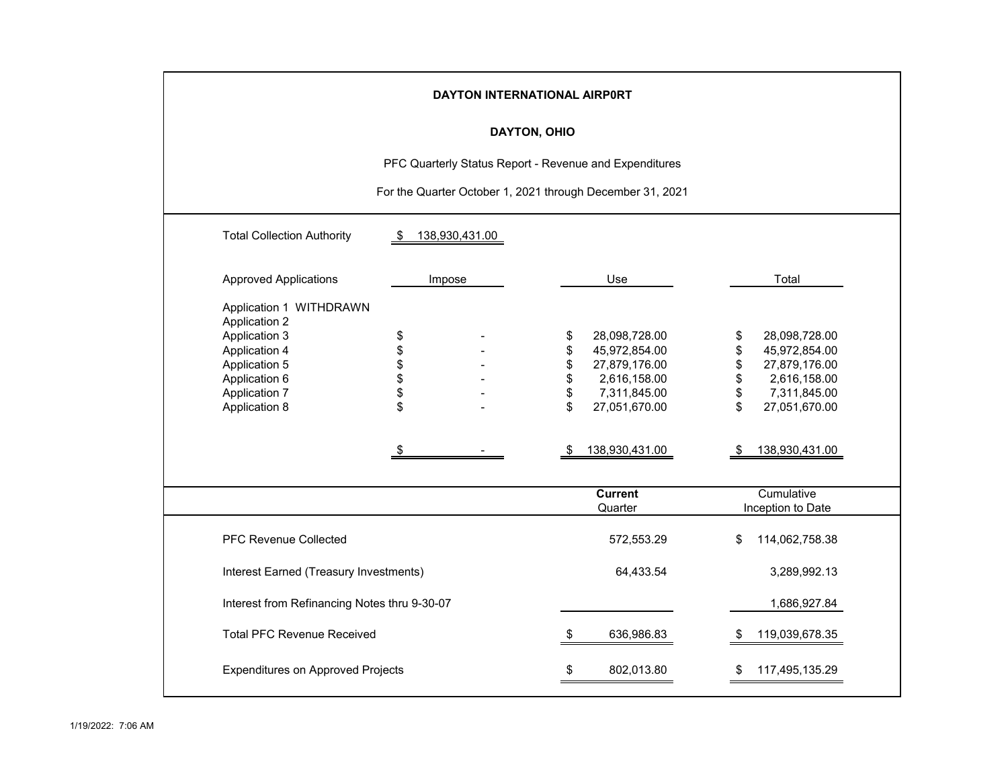|                                                                                                                                                                            | DAYTON INTERNATIONAL AIRPORT                              |  |                                        |                                                                                                                    |                                       |                                                                                                                    |  |  |  |  |  |  |  |  |
|----------------------------------------------------------------------------------------------------------------------------------------------------------------------------|-----------------------------------------------------------|--|----------------------------------------|--------------------------------------------------------------------------------------------------------------------|---------------------------------------|--------------------------------------------------------------------------------------------------------------------|--|--|--|--|--|--|--|--|
|                                                                                                                                                                            | DAYTON, OHIO                                              |  |                                        |                                                                                                                    |                                       |                                                                                                                    |  |  |  |  |  |  |  |  |
|                                                                                                                                                                            | PFC Quarterly Status Report - Revenue and Expenditures    |  |                                        |                                                                                                                    |                                       |                                                                                                                    |  |  |  |  |  |  |  |  |
|                                                                                                                                                                            | For the Quarter October 1, 2021 through December 31, 2021 |  |                                        |                                                                                                                    |                                       |                                                                                                                    |  |  |  |  |  |  |  |  |
| <b>Total Collection Authority</b>                                                                                                                                          | 138,930,431.00<br>- \$                                    |  |                                        |                                                                                                                    |                                       |                                                                                                                    |  |  |  |  |  |  |  |  |
| <b>Approved Applications</b>                                                                                                                                               | Impose                                                    |  |                                        | Use                                                                                                                |                                       | Total                                                                                                              |  |  |  |  |  |  |  |  |
| Application 1 WITHDRAWN<br><b>Application 2</b><br><b>Application 3</b><br><b>Application 4</b><br>Application 5<br>Application 6<br><b>Application 7</b><br>Application 8 | \$<br>\$\$\$\$<br>\$<br>S                                 |  | \$<br>\$<br>\$<br>\$<br>\$<br>\$<br>\$ | 28,098,728.00<br>45,972,854.00<br>27,879,176.00<br>2,616,158.00<br>7,311,845.00<br>27,051,670.00<br>138,930,431.00 | \$<br>\$<br>\$<br>\$<br>\$<br>\$<br>S | 28,098,728.00<br>45,972,854.00<br>27,879,176.00<br>2,616,158.00<br>7,311,845.00<br>27,051,670.00<br>138,930,431.00 |  |  |  |  |  |  |  |  |
|                                                                                                                                                                            |                                                           |  |                                        | <b>Current</b><br>Quarter                                                                                          |                                       | Cumulative<br>Inception to Date                                                                                    |  |  |  |  |  |  |  |  |
| <b>PFC Revenue Collected</b>                                                                                                                                               |                                                           |  |                                        | 572,553.29                                                                                                         | \$                                    | 114,062,758.38                                                                                                     |  |  |  |  |  |  |  |  |
| Interest Earned (Treasury Investments)                                                                                                                                     |                                                           |  |                                        | 64,433.54                                                                                                          |                                       | 3,289,992.13                                                                                                       |  |  |  |  |  |  |  |  |
| Interest from Refinancing Notes thru 9-30-07                                                                                                                               |                                                           |  |                                        |                                                                                                                    |                                       | 1,686,927.84                                                                                                       |  |  |  |  |  |  |  |  |
| <b>Total PFC Revenue Received</b>                                                                                                                                          |                                                           |  | S                                      | 636,986.83                                                                                                         | S                                     | 119,039,678.35                                                                                                     |  |  |  |  |  |  |  |  |
| <b>Expenditures on Approved Projects</b>                                                                                                                                   |                                                           |  |                                        | 802,013.80                                                                                                         |                                       | 117,495,135.29                                                                                                     |  |  |  |  |  |  |  |  |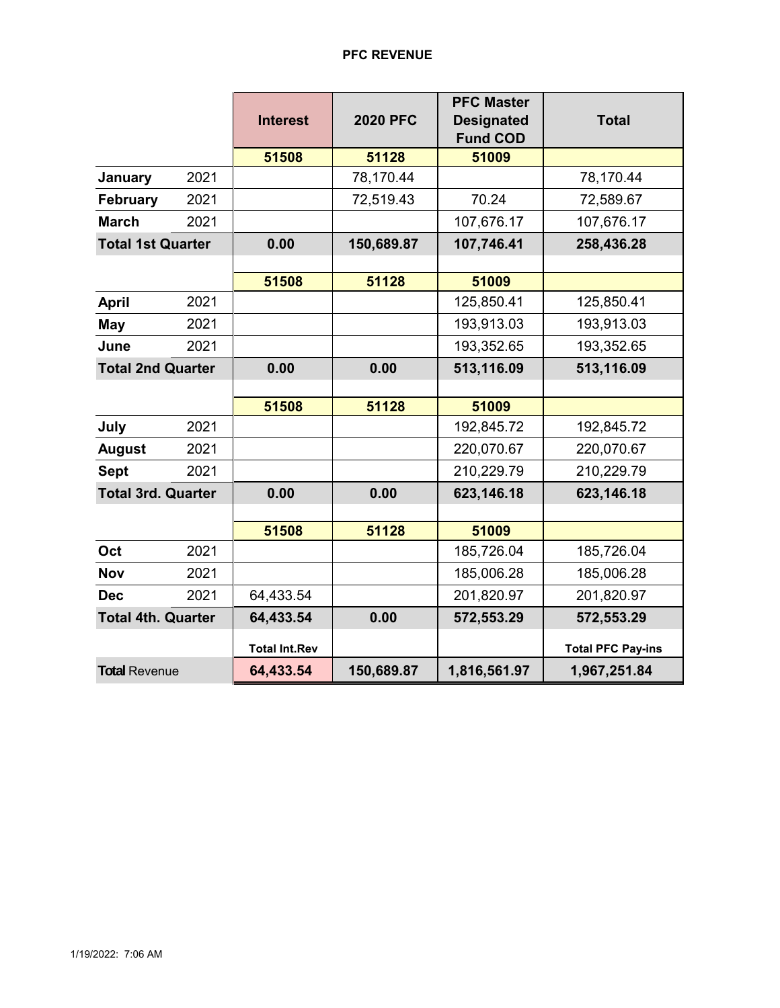## **PFC REVENUE**

|                           |      | <b>Interest</b>      | <b>2020 PFC</b> | <b>PFC Master</b><br><b>Designated</b> | <b>Total</b>             |  |
|---------------------------|------|----------------------|-----------------|----------------------------------------|--------------------------|--|
|                           |      |                      |                 | <b>Fund COD</b>                        |                          |  |
|                           |      | 51508                | 51128           | 51009                                  |                          |  |
| January                   | 2021 |                      | 78,170.44       |                                        | 78,170.44                |  |
| <b>February</b>           | 2021 |                      | 72,519.43       | 70.24                                  | 72,589.67                |  |
| <b>March</b>              | 2021 |                      |                 | 107,676.17                             | 107,676.17               |  |
| <b>Total 1st Quarter</b>  |      | 0.00                 | 150,689.87      | 107,746.41                             | 258,436.28               |  |
|                           |      |                      |                 |                                        |                          |  |
|                           |      | 51508                | 51128           | 51009                                  |                          |  |
| <b>April</b>              | 2021 |                      |                 | 125,850.41                             | 125,850.41               |  |
| <b>May</b>                | 2021 |                      |                 | 193,913.03                             | 193,913.03               |  |
| June<br>2021              |      |                      |                 | 193,352.65                             | 193,352.65               |  |
| <b>Total 2nd Quarter</b>  |      | 0.00                 | 0.00            | 513,116.09                             | 513,116.09               |  |
|                           |      |                      |                 |                                        |                          |  |
|                           |      | 51508                | 51128           | 51009                                  |                          |  |
| July                      | 2021 |                      |                 | 192,845.72                             | 192,845.72               |  |
| <b>August</b>             | 2021 |                      |                 | 220,070.67                             | 220,070.67               |  |
| <b>Sept</b>               | 2021 |                      |                 | 210,229.79                             | 210,229.79               |  |
| <b>Total 3rd. Quarter</b> |      | 0.00                 | 0.00            | 623,146.18                             | 623,146.18               |  |
|                           |      |                      |                 |                                        |                          |  |
|                           |      | 51508                | 51128           | 51009                                  |                          |  |
| Oct                       | 2021 |                      |                 | 185,726.04                             | 185,726.04               |  |
| <b>Nov</b>                | 2021 |                      |                 | 185,006.28                             | 185,006.28               |  |
| <b>Dec</b>                | 2021 | 64,433.54            |                 | 201,820.97                             | 201,820.97               |  |
| <b>Total 4th. Quarter</b> |      | 64,433.54            | 0.00            | 572,553.29                             | 572,553.29               |  |
|                           |      | <b>Total Int.Rev</b> |                 |                                        | <b>Total PFC Pay-ins</b> |  |
| <b>Total Revenue</b>      |      | 64,433.54            | 150,689.87      | 1,816,561.97                           | 1,967,251.84             |  |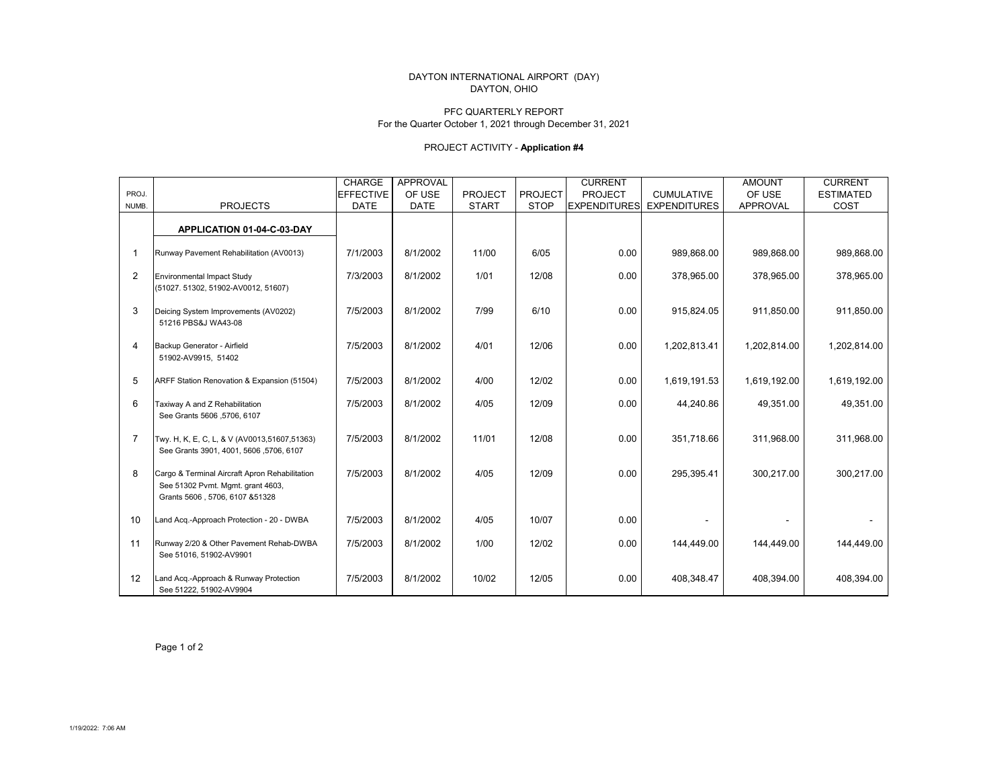### DAYTON INTERNATIONAL AIRPORT (DAY) DAYTON, OHIO

#### PFC QUARTERLY REPORT For the Quarter October 1, 2021 through December 31, 2021

## PROJECT ACTIVITY - **Application #4**

|                |                                                                                                                        | <b>CHARGE</b>    | <b>APPROVAL</b> |                |                | <b>CURRENT</b>      |                     | <b>AMOUNT</b>   | <b>CURRENT</b>   |
|----------------|------------------------------------------------------------------------------------------------------------------------|------------------|-----------------|----------------|----------------|---------------------|---------------------|-----------------|------------------|
| PROJ.          |                                                                                                                        | <b>EFFECTIVE</b> | OF USE          | <b>PROJECT</b> | <b>PROJECT</b> | <b>PROJECT</b>      | <b>CUMULATIVE</b>   | OF USE          | <b>ESTIMATED</b> |
| NUMB.          | <b>PROJECTS</b>                                                                                                        | <b>DATE</b>      | <b>DATE</b>     | <b>START</b>   | <b>STOP</b>    | <b>EXPENDITURES</b> | <b>EXPENDITURES</b> | <b>APPROVAL</b> | COST             |
|                |                                                                                                                        |                  |                 |                |                |                     |                     |                 |                  |
|                | APPLICATION 01-04-C-03-DAY                                                                                             |                  |                 |                |                |                     |                     |                 |                  |
| $\mathbf{1}$   | Runway Pavement Rehabilitation (AV0013)                                                                                | 7/1/2003         | 8/1/2002        | 11/00          | 6/05           | 0.00                | 989,868.00          | 989,868.00      | 989,868.00       |
| 2              | <b>Environmental Impact Study</b><br>(51027.51302,51902-AV0012,51607)                                                  | 7/3/2003         | 8/1/2002        | 1/01           | 12/08          | 0.00                | 378,965.00          | 378,965.00      | 378,965.00       |
| 3              | Deicing System Improvements (AV0202)<br>51216 PBS&J WA43-08                                                            | 7/5/2003         | 8/1/2002        | 7/99           | 6/10           | 0.00                | 915,824.05          | 911.850.00      | 911,850.00       |
| 4              | Backup Generator - Airfield<br>51902-AV9915, 51402                                                                     | 7/5/2003         | 8/1/2002        | 4/01           | 12/06          | 0.00                | 1,202,813.41        | 1,202,814.00    | 1,202,814.00     |
| 5              | ARFF Station Renovation & Expansion (51504)                                                                            | 7/5/2003         | 8/1/2002        | 4/00           | 12/02          | 0.00                | 1,619,191.53        | 1,619,192.00    | 1,619,192.00     |
| 6              | Taxiway A and Z Rehabilitation<br>See Grants 5606, 5706, 6107                                                          | 7/5/2003         | 8/1/2002        | 4/05           | 12/09          | 0.00                | 44,240.86           | 49,351.00       | 49,351.00        |
| $\overline{7}$ | Twy. H, K, E, C, L, & V (AV0013,51607,51363)<br>See Grants 3901, 4001, 5606, 5706, 6107                                | 7/5/2003         | 8/1/2002        | 11/01          | 12/08          | 0.00                | 351.718.66          | 311.968.00      | 311,968.00       |
| 8              | Cargo & Terminal Aircraft Apron Rehabilitation<br>See 51302 Pvmt. Mgmt. grant 4603,<br>Grants 5606, 5706, 6107 & 51328 | 7/5/2003         | 8/1/2002        | 4/05           | 12/09          | 0.00                | 295,395.41          | 300,217.00      | 300,217.00       |
| 10             | Land Acq.-Approach Protection - 20 - DWBA                                                                              | 7/5/2003         | 8/1/2002        | 4/05           | 10/07          | 0.00                |                     |                 |                  |
| 11             | Runway 2/20 & Other Pavement Rehab-DWBA<br>See 51016, 51902-AV9901                                                     | 7/5/2003         | 8/1/2002        | 1/00           | 12/02          | 0.00                | 144,449.00          | 144,449.00      | 144,449.00       |
| 12             | Land Acq.-Approach & Runway Protection<br>See 51222, 51902-AV9904                                                      | 7/5/2003         | 8/1/2002        | 10/02          | 12/05          | 0.00                | 408,348.47          | 408,394.00      | 408,394.00       |

Page 1 of 2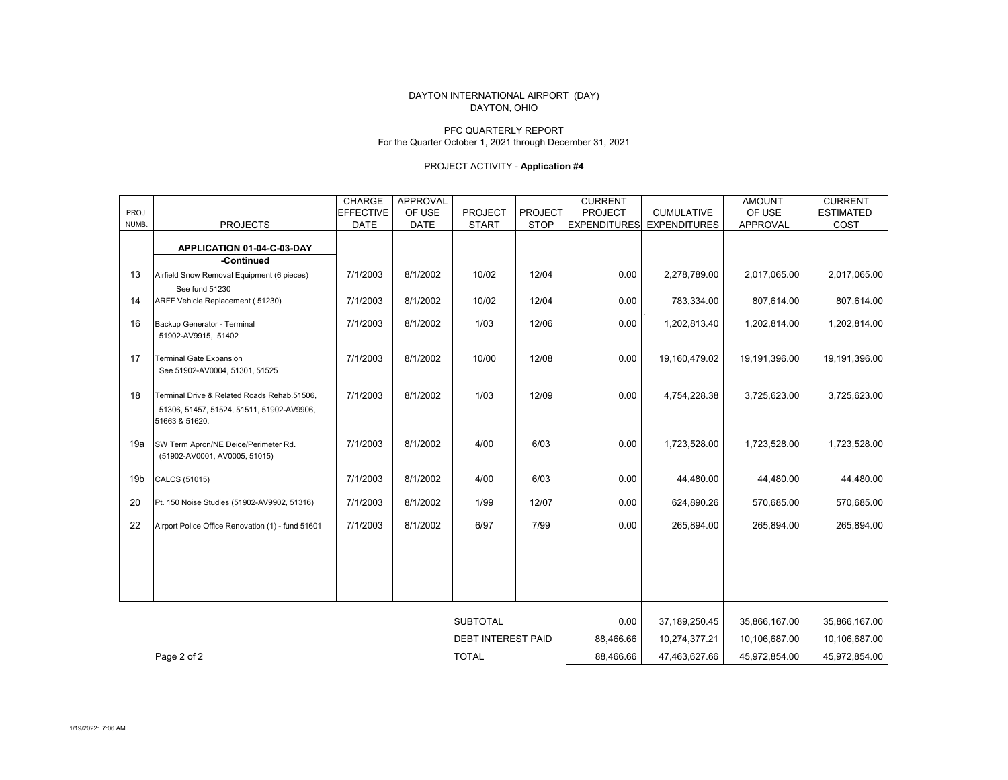### DAYTON, OHIO DAYTON INTERNATIONAL AIRPORT (DAY)

### PFC QUARTERLY REPORTFor the Quarter October 1, 2021 through December 31, 2021

## PROJECT ACTIVITY - **Application #4**

|                 |                                                   | <b>CHARGE</b>    | APPROVAL    |                           |                | <b>CURRENT</b>      |                     | <b>AMOUNT</b>   | <b>CURRENT</b>   |
|-----------------|---------------------------------------------------|------------------|-------------|---------------------------|----------------|---------------------|---------------------|-----------------|------------------|
| PROJ.           |                                                   | <b>EFFECTIVE</b> | OF USE      | <b>PROJECT</b>            | <b>PROJECT</b> | PROJECT             | <b>CUMULATIVE</b>   | OF USE          | <b>ESTIMATED</b> |
| NUMB.           | <b>PROJECTS</b>                                   | <b>DATE</b>      | <b>DATE</b> | <b>START</b>              | <b>STOP</b>    | <b>EXPENDITURES</b> | <b>EXPENDITURES</b> | <b>APPROVAL</b> | COST             |
|                 |                                                   |                  |             |                           |                |                     |                     |                 |                  |
|                 | APPLICATION 01-04-C-03-DAY                        |                  |             |                           |                |                     |                     |                 |                  |
|                 | -Continued                                        |                  |             |                           |                |                     |                     |                 |                  |
| 13              | Airfield Snow Removal Equipment (6 pieces)        | 7/1/2003         | 8/1/2002    | 10/02                     | 12/04          | 0.00                | 2,278,789.00        | 2,017,065.00    | 2,017,065.00     |
|                 | See fund 51230                                    |                  |             |                           |                |                     |                     |                 |                  |
| 14              | ARFF Vehicle Replacement (51230)                  | 7/1/2003         | 8/1/2002    | 10/02                     | 12/04          | 0.00                | 783,334.00          | 807,614.00      | 807,614.00       |
| 16              | Backup Generator - Terminal                       | 7/1/2003         | 8/1/2002    | 1/03                      | 12/06          | 0.00                | 1,202,813.40        | 1,202,814.00    | 1,202,814.00     |
|                 | 51902-AV9915, 51402                               |                  |             |                           |                |                     |                     |                 |                  |
|                 |                                                   |                  |             |                           |                |                     |                     |                 |                  |
| 17              | <b>Terminal Gate Expansion</b>                    | 7/1/2003         | 8/1/2002    | 10/00                     | 12/08          | 0.00                | 19,160,479.02       | 19,191,396.00   | 19,191,396.00    |
|                 | See 51902-AV0004, 51301, 51525                    |                  |             |                           |                |                     |                     |                 |                  |
|                 |                                                   |                  |             |                           |                |                     |                     |                 |                  |
| 18              | Terminal Drive & Related Roads Rehab.51506.       | 7/1/2003         | 8/1/2002    | 1/03                      | 12/09          | 0.00                | 4,754,228.38        | 3,725,623.00    | 3,725,623.00     |
|                 | 51306, 51457, 51524, 51511, 51902-AV9906,         |                  |             |                           |                |                     |                     |                 |                  |
|                 | 51663 & 51620.                                    |                  |             |                           |                |                     |                     |                 |                  |
| 19a             | SW Term Apron/NE Deice/Perimeter Rd.              | 7/1/2003         | 8/1/2002    | 4/00                      | 6/03           | 0.00                | 1,723,528.00        | 1,723,528.00    | 1,723,528.00     |
|                 | (51902-AV0001, AV0005, 51015)                     |                  |             |                           |                |                     |                     |                 |                  |
|                 |                                                   |                  |             |                           |                |                     |                     |                 |                  |
| 19 <sub>b</sub> | CALCS (51015)                                     | 7/1/2003         | 8/1/2002    | 4/00                      | 6/03           | 0.00                | 44,480.00           | 44,480.00       | 44,480.00        |
|                 |                                                   |                  |             |                           |                |                     |                     |                 |                  |
| 20              | Pt. 150 Noise Studies (51902-AV9902, 51316)       | 7/1/2003         | 8/1/2002    | 1/99                      | 12/07          | 0.00                | 624,890.26          | 570,685.00      | 570,685.00       |
| 22              | Airport Police Office Renovation (1) - fund 51601 | 7/1/2003         | 8/1/2002    | 6/97                      | 7/99           | 0.00                | 265,894.00          | 265,894.00      | 265,894.00       |
|                 |                                                   |                  |             |                           |                |                     |                     |                 |                  |
|                 |                                                   |                  |             |                           |                |                     |                     |                 |                  |
|                 |                                                   |                  |             |                           |                |                     |                     |                 |                  |
|                 |                                                   |                  |             |                           |                |                     |                     |                 |                  |
|                 |                                                   |                  |             |                           |                |                     |                     |                 |                  |
|                 |                                                   |                  |             |                           |                |                     |                     |                 |                  |
|                 |                                                   |                  |             | <b>SUBTOTAL</b>           |                | 0.00                | 37,189,250.45       | 35,866,167.00   | 35,866,167.00    |
|                 |                                                   |                  |             | <b>DEBT INTEREST PAID</b> |                | 88,466.66           | 10,274,377.21       | 10,106,687.00   | 10,106,687.00    |
|                 | Page 2 of 2                                       |                  |             | <b>TOTAL</b>              |                | 88.466.66           | 47,463,627.66       | 45,972,854.00   | 45,972,854.00    |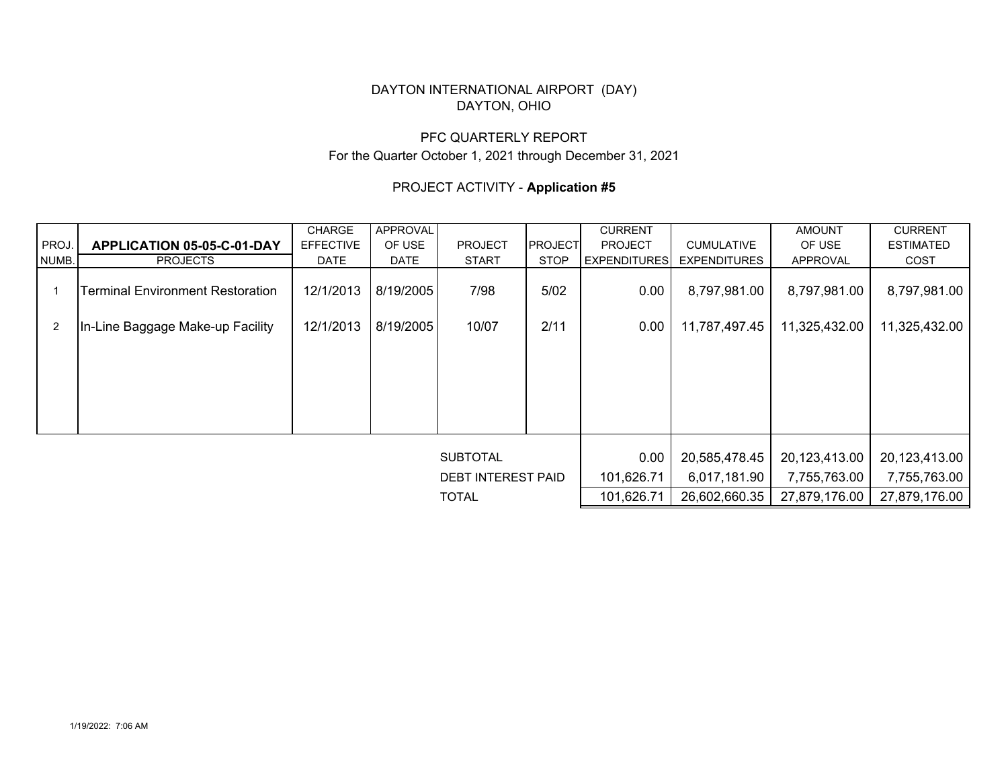## DAYTON INTERNATIONAL AIRPORT (DAY) DAYTON, OHIO

# PFC QUARTERLY REPORTFor the Quarter October 1, 2021 through December 31, 2021

# PROJECT ACTIVITY - **Application #5**

|                |                                         | <b>APPROVAL</b><br><b>CHARGE</b> |             |                 | <b>CURRENT</b> |                     | <b>AMOUNT</b>       | <b>CURRENT</b> |                  |  |
|----------------|-----------------------------------------|----------------------------------|-------------|-----------------|----------------|---------------------|---------------------|----------------|------------------|--|
| PROJ.          | APPLICATION 05-05-C-01-DAY              | <b>EFFECTIVE</b>                 | OF USE      | <b>PROJECT</b>  | <b>PROJECT</b> | <b>PROJECT</b>      | <b>CUMULATIVE</b>   | OF USE         | <b>ESTIMATED</b> |  |
| NUMB.          | <b>PROJECTS</b>                         | DATE                             | <b>DATE</b> | <b>START</b>    | <b>STOP</b>    | <b>EXPENDITURES</b> | <b>EXPENDITURES</b> | APPROVAL       | COST             |  |
|                | <b>Terminal Environment Restoration</b> | 12/1/2013                        | 8/19/2005   | 7/98            | 5/02           | 0.00                | 8,797,981.00        | 8,797,981.00   | 8,797,981.00     |  |
| $\overline{2}$ | In-Line Baggage Make-up Facility        | 12/1/2013                        | 8/19/2005   | 10/07           | 2/11           | 0.00                | 11,787,497.45       | 11,325,432.00  | 11,325,432.00    |  |
|                |                                         |                                  |             |                 |                |                     |                     |                |                  |  |
|                |                                         |                                  |             |                 |                |                     |                     |                |                  |  |
|                |                                         |                                  |             |                 |                |                     |                     |                |                  |  |
|                |                                         |                                  |             |                 |                |                     |                     |                |                  |  |
|                |                                         |                                  |             | <b>SUBTOTAL</b> |                | 0.00                | 20,585,478.45       | 20,123,413.00  | 20,123,413.00    |  |
|                |                                         | <b>DEBT INTEREST PAID</b>        |             | 101,626.71      | 6,017,181.90   | 7,755,763.00        | 7,755,763.00        |                |                  |  |
|                |                                         |                                  |             | <b>TOTAL</b>    |                | 101,626.71          | 26,602,660.35       | 27,879,176.00  | 27,879,176.00    |  |